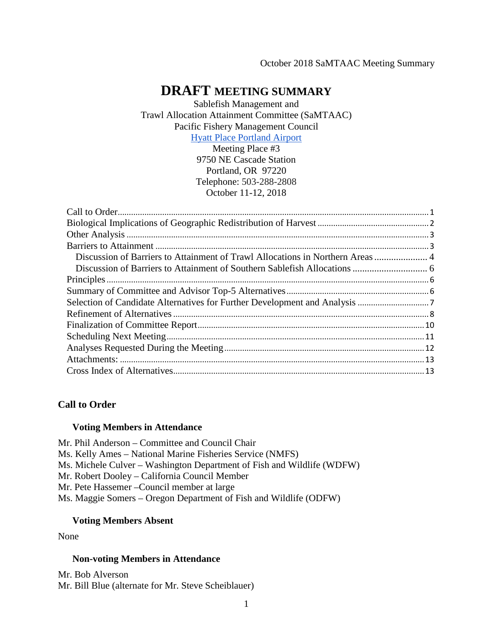#### October 2018 SaMTAAC Meeting Summary

# **DRAFT MEETING SUMMARY**

Sablefish Management and Trawl Allocation Attainment Committee (SaMTAAC) Pacific Fishery Management Council [Hyatt Place Portland Airport](https://portlandairport.place.hyatt.com/en/hotel/home.html)

Meeting Place #3

9750 NE Cascade Station Portland, OR 97220 Telephone: 503-288-2808 October 11-12, 2018

## <span id="page-0-0"></span>**Call to Order**

#### **Voting Members in Attendance**

Mr. Phil Anderson – Committee and Council Chair Ms. Kelly Ames – National Marine Fisheries Service (NMFS) Ms. Michele Culver – Washington Department of Fish and Wildlife (WDFW) Mr. Robert Dooley – California Council Member Mr. Pete Hassemer –Council member at large Ms. Maggie Somers – Oregon Department of Fish and Wildlife (ODFW)

#### **Voting Members Absent**

None

#### **Non-voting Members in Attendance**

Mr. Bob Alverson Mr. Bill Blue (alternate for Mr. Steve Scheiblauer)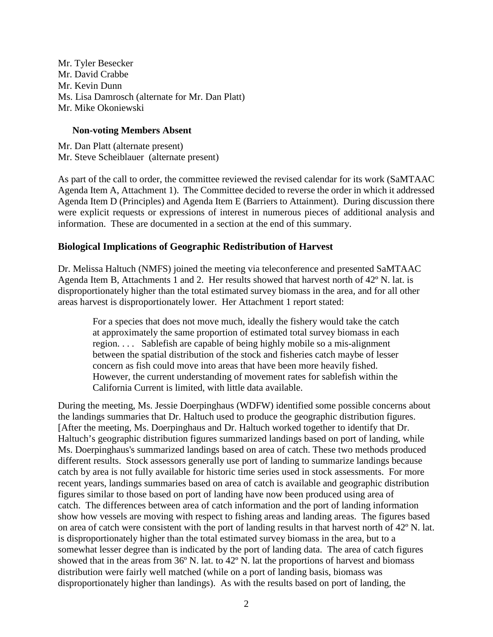Mr. Tyler Besecker Mr. David Crabbe Mr. Kevin Dunn Ms. Lisa Damrosch (alternate for Mr. Dan Platt) Mr. Mike Okoniewski

### **Non-voting Members Absent**

Mr. Dan Platt (alternate present) Mr. Steve Scheiblauer (alternate present)

As part of the call to order, the committee reviewed the revised calendar for its work (SaMTAAC Agenda Item A, Attachment 1). The Committee decided to reverse the order in which it addressed Agenda Item D (Principles) and Agenda Item E (Barriers to Attainment). During discussion there were explicit requests or expressions of interest in numerous pieces of additional analysis and information. These are documented in a section at the end of this summary.

# <span id="page-1-0"></span>**Biological Implications of Geographic Redistribution of Harvest**

Dr. Melissa Haltuch (NMFS) joined the meeting via teleconference and presented SaMTAAC Agenda Item B, Attachments 1 and 2. Her results showed that harvest north of 42º N. lat. is disproportionately higher than the total estimated survey biomass in the area, and for all other areas harvest is disproportionately lower. Her Attachment 1 report stated:

For a species that does not move much, ideally the fishery would take the catch at approximately the same proportion of estimated total survey biomass in each region. . . . Sablefish are capable of being highly mobile so a mis-alignment between the spatial distribution of the stock and fisheries catch maybe of lesser concern as fish could move into areas that have been more heavily fished. However, the current understanding of movement rates for sablefish within the California Current is limited, with little data available.

During the meeting, Ms. Jessie Doerpinghaus (WDFW) identified some possible concerns about the landings summaries that Dr. Haltuch used to produce the geographic distribution figures. [After the meeting, Ms. Doerpinghaus and Dr. Haltuch worked together to identify that Dr. Haltuch's geographic distribution figures summarized landings based on port of landing, while Ms. Doerpinghaus's summarized landings based on area of catch. These two methods produced different results. Stock assessors generally use port of landing to summarize landings because catch by area is not fully available for historic time series used in stock assessments. For more recent years, landings summaries based on area of catch is available and geographic distribution figures similar to those based on port of landing have now been produced using area of catch. The differences between area of catch information and the port of landing information show how vessels are moving with respect to fishing areas and landing areas. The figures based on area of catch were consistent with the port of landing results in that harvest north of 42º N. lat. is disproportionately higher than the total estimated survey biomass in the area, but to a somewhat lesser degree than is indicated by the port of landing data. The area of catch figures showed that in the areas from 36º N. lat. to 42º N. lat the proportions of harvest and biomass distribution were fairly well matched (while on a port of landing basis, biomass was disproportionately higher than landings). As with the results based on port of landing, the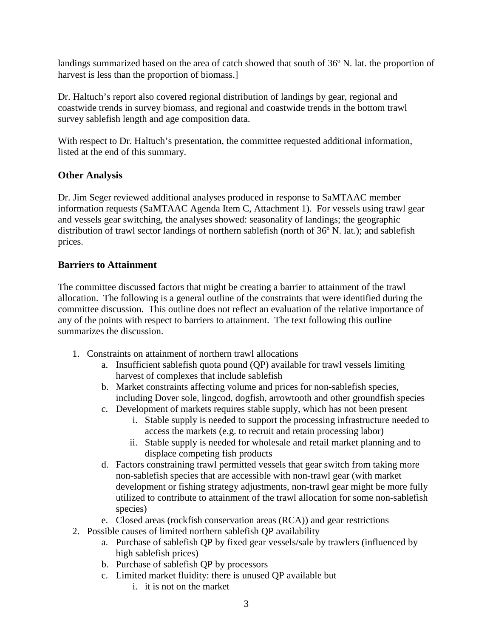landings summarized based on the area of catch showed that south of 36º N. lat. the proportion of harvest is less than the proportion of biomass.]

Dr. Haltuch's report also covered regional distribution of landings by gear, regional and coastwide trends in survey biomass, and regional and coastwide trends in the bottom trawl survey sablefish length and age composition data.

With respect to Dr. Haltuch's presentation, the committee requested additional information, listed at the end of this summary.

# <span id="page-2-0"></span>**Other Analysis**

Dr. Jim Seger reviewed additional analyses produced in response to SaMTAAC member information requests (SaMTAAC Agenda Item C, Attachment 1). For vessels using trawl gear and vessels gear switching, the analyses showed: seasonality of landings; the geographic distribution of trawl sector landings of northern sablefish (north of 36º N. lat.); and sablefish prices.

# <span id="page-2-1"></span>**Barriers to Attainment**

The committee discussed factors that might be creating a barrier to attainment of the trawl allocation. The following is a general outline of the constraints that were identified during the committee discussion. This outline does not reflect an evaluation of the relative importance of any of the points with respect to barriers to attainment. The text following this outline summarizes the discussion.

- 1. Constraints on attainment of northern trawl allocations
	- a. Insufficient sablefish quota pound (QP) available for trawl vessels limiting harvest of complexes that include sablefish
	- b. Market constraints affecting volume and prices for non-sablefish species, including Dover sole, lingcod, dogfish, arrowtooth and other groundfish species
	- c. Development of markets requires stable supply, which has not been present
		- i. Stable supply is needed to support the processing infrastructure needed to access the markets (e.g. to recruit and retain processing labor)
		- ii. Stable supply is needed for wholesale and retail market planning and to displace competing fish products
	- d. Factors constraining trawl permitted vessels that gear switch from taking more non-sablefish species that are accessible with non-trawl gear (with market development or fishing strategy adjustments, non-trawl gear might be more fully utilized to contribute to attainment of the trawl allocation for some non-sablefish species)
	- e. Closed areas (rockfish conservation areas (RCA)) and gear restrictions
- 2. Possible causes of limited northern sablefish QP availability
	- a. Purchase of sablefish QP by fixed gear vessels/sale by trawlers (influenced by high sablefish prices)
	- b. Purchase of sablefish QP by processors
	- c. Limited market fluidity: there is unused QP available but
		- i. it is not on the market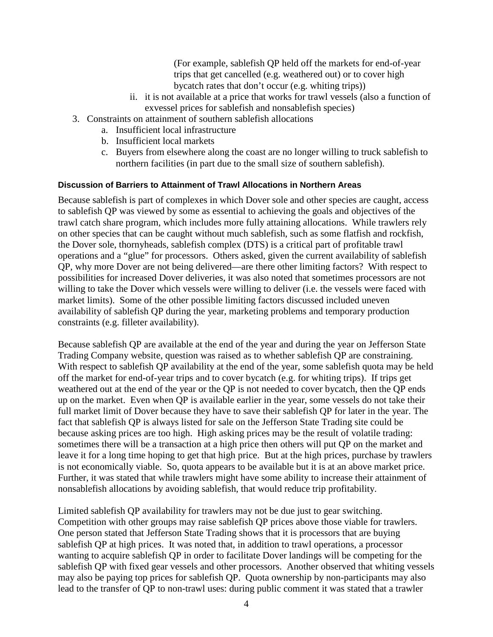(For example, sablefish QP held off the markets for end-of-year trips that get cancelled (e.g. weathered out) or to cover high bycatch rates that don't occur (e.g. whiting trips))

- ii. it is not available at a price that works for trawl vessels (also a function of exvessel prices for sablefish and nonsablefish species)
- 3. Constraints on attainment of southern sablefish allocations
	- a. Insufficient local infrastructure
	- b. Insufficient local markets
	- c. Buyers from elsewhere along the coast are no longer willing to truck sablefish to northern facilities (in part due to the small size of southern sablefish).

#### <span id="page-3-0"></span>**Discussion of Barriers to Attainment of Trawl Allocations in Northern Areas**

Because sablefish is part of complexes in which Dover sole and other species are caught, access to sablefish QP was viewed by some as essential to achieving the goals and objectives of the trawl catch share program, which includes more fully attaining allocations. While trawlers rely on other species that can be caught without much sablefish, such as some flatfish and rockfish, the Dover sole, thornyheads, sablefish complex (DTS) is a critical part of profitable trawl operations and a "glue" for processors. Others asked, given the current availability of sablefish QP, why more Dover are not being delivered—are there other limiting factors? With respect to possibilities for increased Dover deliveries, it was also noted that sometimes processors are not willing to take the Dover which vessels were willing to deliver *(i.e. the vessels were faced with* market limits). Some of the other possible limiting factors discussed included uneven availability of sablefish QP during the year, marketing problems and temporary production constraints (e.g. filleter availability).

Because sablefish QP are available at the end of the year and during the year on Jefferson State Trading Company website, question was raised as to whether sablefish QP are constraining. With respect to sablefish QP availability at the end of the year, some sablefish quota may be held off the market for end-of-year trips and to cover bycatch (e.g. for whiting trips). If trips get weathered out at the end of the year or the QP is not needed to cover bycatch, then the QP ends up on the market. Even when QP is available earlier in the year, some vessels do not take their full market limit of Dover because they have to save their sablefish QP for later in the year. The fact that sablefish QP is always listed for sale on the Jefferson State Trading site could be because asking prices are too high. High asking prices may be the result of volatile trading: sometimes there will be a transaction at a high price then others will put QP on the market and leave it for a long time hoping to get that high price. But at the high prices, purchase by trawlers is not economically viable. So, quota appears to be available but it is at an above market price. Further, it was stated that while trawlers might have some ability to increase their attainment of nonsablefish allocations by avoiding sablefish, that would reduce trip profitability.

Limited sablefish QP availability for trawlers may not be due just to gear switching. Competition with other groups may raise sablefish QP prices above those viable for trawlers. One person stated that Jefferson State Trading shows that it is processors that are buying sablefish QP at high prices. It was noted that, in addition to trawl operations, a processor wanting to acquire sablefish QP in order to facilitate Dover landings will be competing for the sablefish QP with fixed gear vessels and other processors. Another observed that whiting vessels may also be paying top prices for sablefish QP. Quota ownership by non-participants may also lead to the transfer of QP to non-trawl uses: during public comment it was stated that a trawler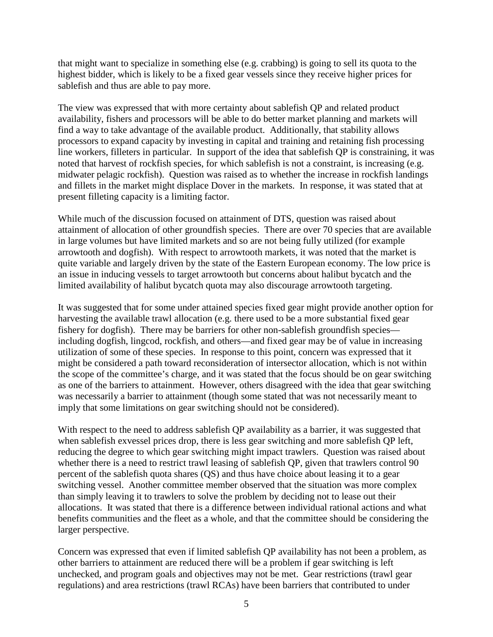that might want to specialize in something else (e.g. crabbing) is going to sell its quota to the highest bidder, which is likely to be a fixed gear vessels since they receive higher prices for sablefish and thus are able to pay more.

The view was expressed that with more certainty about sablefish QP and related product availability, fishers and processors will be able to do better market planning and markets will find a way to take advantage of the available product. Additionally, that stability allows processors to expand capacity by investing in capital and training and retaining fish processing line workers, filleters in particular. In support of the idea that sablefish QP is constraining, it was noted that harvest of rockfish species, for which sablefish is not a constraint, is increasing (e.g. midwater pelagic rockfish). Question was raised as to whether the increase in rockfish landings and fillets in the market might displace Dover in the markets. In response, it was stated that at present filleting capacity is a limiting factor.

While much of the discussion focused on attainment of DTS, question was raised about attainment of allocation of other groundfish species. There are over 70 species that are available in large volumes but have limited markets and so are not being fully utilized (for example arrowtooth and dogfish). With respect to arrowtooth markets, it was noted that the market is quite variable and largely driven by the state of the Eastern European economy. The low price is an issue in inducing vessels to target arrowtooth but concerns about halibut bycatch and the limited availability of halibut bycatch quota may also discourage arrowtooth targeting.

It was suggested that for some under attained species fixed gear might provide another option for harvesting the available trawl allocation (e.g. there used to be a more substantial fixed gear fishery for dogfish). There may be barriers for other non-sablefish groundfish species including dogfish, lingcod, rockfish, and others—and fixed gear may be of value in increasing utilization of some of these species. In response to this point, concern was expressed that it might be considered a path toward reconsideration of intersector allocation, which is not within the scope of the committee's charge, and it was stated that the focus should be on gear switching as one of the barriers to attainment. However, others disagreed with the idea that gear switching was necessarily a barrier to attainment (though some stated that was not necessarily meant to imply that some limitations on gear switching should not be considered).

With respect to the need to address sable fish QP availability as a barrier, it was suggested that when sablefish exvessel prices drop, there is less gear switching and more sablefish QP left, reducing the degree to which gear switching might impact trawlers. Question was raised about whether there is a need to restrict trawl leasing of sablefish QP, given that trawlers control 90 percent of the sablefish quota shares (QS) and thus have choice about leasing it to a gear switching vessel. Another committee member observed that the situation was more complex than simply leaving it to trawlers to solve the problem by deciding not to lease out their allocations. It was stated that there is a difference between individual rational actions and what benefits communities and the fleet as a whole, and that the committee should be considering the larger perspective.

Concern was expressed that even if limited sablefish QP availability has not been a problem, as other barriers to attainment are reduced there will be a problem if gear switching is left unchecked, and program goals and objectives may not be met. Gear restrictions (trawl gear regulations) and area restrictions (trawl RCAs) have been barriers that contributed to under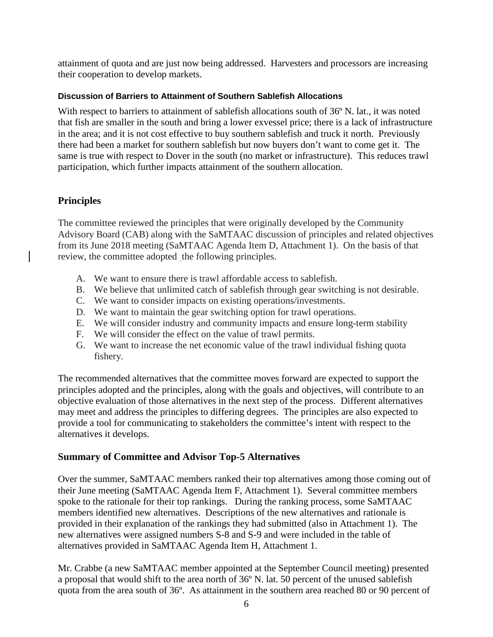attainment of quota and are just now being addressed. Harvesters and processors are increasing their cooperation to develop markets.

## <span id="page-5-0"></span>**Discussion of Barriers to Attainment of Southern Sablefish Allocations**

With respect to barriers to attainment of sable fish allocations south of 36 $\degree$  N. lat., it was noted that fish are smaller in the south and bring a lower exvessel price; there is a lack of infrastructure in the area; and it is not cost effective to buy southern sablefish and truck it north. Previously there had been a market for southern sablefish but now buyers don't want to come get it. The same is true with respect to Dover in the south (no market or infrastructure). This reduces trawl participation, which further impacts attainment of the southern allocation.

# <span id="page-5-1"></span>**Principles**

The committee reviewed the principles that were originally developed by the Community Advisory Board (CAB) along with the SaMTAAC discussion of principles and related objectives from its June 2018 meeting (SaMTAAC Agenda Item D, Attachment 1). On the basis of that review, the committee adopted the following principles.

- A. We want to ensure there is trawl affordable access to sablefish.
- B. We believe that unlimited catch of sablefish through gear switching is not desirable.
- C. We want to consider impacts on existing operations/investments.
- D. We want to maintain the gear switching option for trawl operations.
- E. We will consider industry and community impacts and ensure long-term stability
- F. We will consider the effect on the value of trawl permits.
- G. We want to increase the net economic value of the trawl individual fishing quota fishery.

The recommended alternatives that the committee moves forward are expected to support the principles adopted and the principles, along with the goals and objectives, will contribute to an objective evaluation of those alternatives in the next step of the process. Different alternatives may meet and address the principles to differing degrees. The principles are also expected to provide a tool for communicating to stakeholders the committee's intent with respect to the alternatives it develops.

# <span id="page-5-2"></span>**Summary of Committee and Advisor Top-5 Alternatives**

Over the summer, SaMTAAC members ranked their top alternatives among those coming out of their June meeting (SaMTAAC Agenda Item F, Attachment 1). Several committee members spoke to the rationale for their top rankings. During the ranking process, some SaMTAAC members identified new alternatives. Descriptions of the new alternatives and rationale is provided in their explanation of the rankings they had submitted (also in Attachment 1). The new alternatives were assigned numbers S-8 and S-9 and were included in the table of alternatives provided in SaMTAAC Agenda Item H, Attachment 1.

Mr. Crabbe (a new SaMTAAC member appointed at the September Council meeting) presented a proposal that would shift to the area north of 36º N. lat. 50 percent of the unused sablefish quota from the area south of 36º. As attainment in the southern area reached 80 or 90 percent of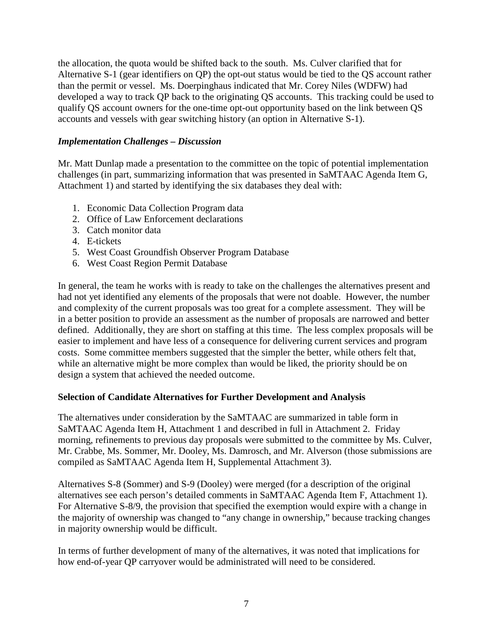the allocation, the quota would be shifted back to the south. Ms. Culver clarified that for Alternative S-1 (gear identifiers on QP) the opt-out status would be tied to the QS account rather than the permit or vessel. Ms. Doerpinghaus indicated that Mr. Corey Niles (WDFW) had developed a way to track QP back to the originating QS accounts. This tracking could be used to qualify QS account owners for the one-time opt-out opportunity based on the link between QS accounts and vessels with gear switching history (an option in Alternative S-1).

## *Implementation Challenges – Discussion*

Mr. Matt Dunlap made a presentation to the committee on the topic of potential implementation challenges (in part, summarizing information that was presented in SaMTAAC Agenda Item G, Attachment 1) and started by identifying the six databases they deal with:

- 1. Economic Data Collection Program data
- 2. Office of Law Enforcement declarations
- 3. Catch monitor data
- 4. E-tickets
- 5. West Coast Groundfish Observer Program Database
- 6. West Coast Region Permit Database

In general, the team he works with is ready to take on the challenges the alternatives present and had not yet identified any elements of the proposals that were not doable. However, the number and complexity of the current proposals was too great for a complete assessment. They will be in a better position to provide an assessment as the number of proposals are narrowed and better defined. Additionally, they are short on staffing at this time. The less complex proposals will be easier to implement and have less of a consequence for delivering current services and program costs. Some committee members suggested that the simpler the better, while others felt that, while an alternative might be more complex than would be liked, the priority should be on design a system that achieved the needed outcome.

### <span id="page-6-0"></span>**Selection of Candidate Alternatives for Further Development and Analysis**

The alternatives under consideration by the SaMTAAC are summarized in table form in SaMTAAC Agenda Item H, Attachment 1 and described in full in Attachment 2. Friday morning, refinements to previous day proposals were submitted to the committee by Ms. Culver, Mr. Crabbe, Ms. Sommer, Mr. Dooley, Ms. Damrosch, and Mr. Alverson (those submissions are compiled as SaMTAAC Agenda Item H, Supplemental Attachment 3).

Alternatives S-8 (Sommer) and S-9 (Dooley) were merged (for a description of the original alternatives see each person's detailed comments in SaMTAAC Agenda Item F, Attachment 1). For Alternative S-8/9, the provision that specified the exemption would expire with a change in the majority of ownership was changed to "any change in ownership," because tracking changes in majority ownership would be difficult.

In terms of further development of many of the alternatives, it was noted that implications for how end-of-year QP carryover would be administrated will need to be considered.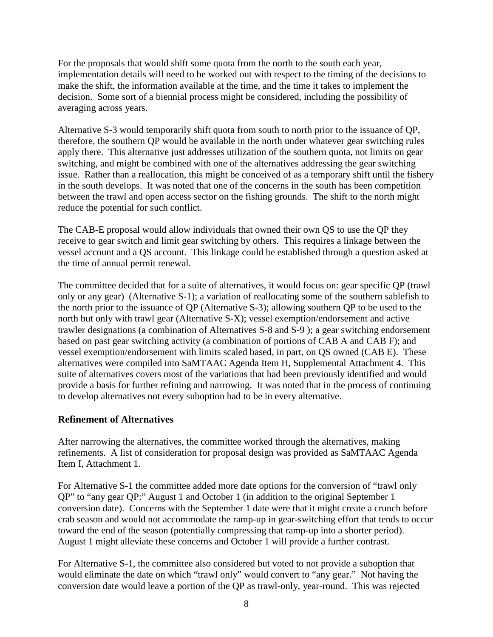For the proposals that would shift some quota from the north to the south each year, implementation details will need to be worked out with respect to the timing of the decisions to make the shift, the information available at the time, and the time it takes to implement the decision. Some sort of a biennial process might be considered, including the possibility of averaging across years.

Alternative S-3 would temporarily shift quota from south to north prior to the issuance of QP, therefore, the southern QP would be available in the north under whatever gear switching rules apply there. This alternative just addresses utilization of the southern quota, not limits on gear switching, and might be combined with one of the alternatives addressing the gear switching issue. Rather than a reallocation, this might be conceived of as a temporary shift until the fishery in the south develops. It was noted that one of the concerns in the south has been competition between the trawl and open access sector on the fishing grounds. The shift to the north might reduce the potential for such conflict.

The CAB-E proposal would allow individuals that owned their own QS to use the QP they receive to gear switch and limit gear switching by others. This requires a linkage between the vessel account and a QS account. This linkage could be established through a question asked at the time of annual permit renewal.

The committee decided that for a suite of alternatives, it would focus on: gear specific QP (trawl only or any gear) (Alternative S-1); a variation of reallocating some of the southern sablefish to the north prior to the issuance of QP (Alternative S-3); allowing southern QP to be used to the north but only with trawl gear (Alternative S-X); vessel exemption/endorsement and active trawler designations (a combination of Alternatives S-8 and S-9 ); a gear switching endorsement based on past gear switching activity (a combination of portions of CAB A and CAB F); and vessel exemption/endorsement with limits scaled based, in part, on QS owned (CAB E). These alternatives were compiled into SaMTAAC Agenda Item H, Supplemental Attachment 4. This suite of alternatives covers most of the variations that had been previously identified and would provide a basis for further refining and narrowing. It was noted that in the process of continuing to develop alternatives not every suboption had to be in every alternative.

# <span id="page-7-0"></span>**Refinement of Alternatives**

After narrowing the alternatives, the committee worked through the alternatives, making refinements. A list of consideration for proposal design was provided as SaMTAAC Agenda Item I, Attachment 1.

For Alternative S-1 the committee added more date options for the conversion of "trawl only QP" to "any gear QP:" August 1 and October 1 (in addition to the original September 1 conversion date). Concerns with the September 1 date were that it might create a crunch before crab season and would not accommodate the ramp-up in gear-switching effort that tends to occur toward the end of the season (potentially compressing that ramp-up into a shorter period). August 1 might alleviate these concerns and October 1 will provide a further contrast.

For Alternative S-1, the committee also considered but voted to not provide a suboption that would eliminate the date on which "trawl only" would convert to "any gear." Not having the conversion date would leave a portion of the QP as trawl-only, year-round. This was rejected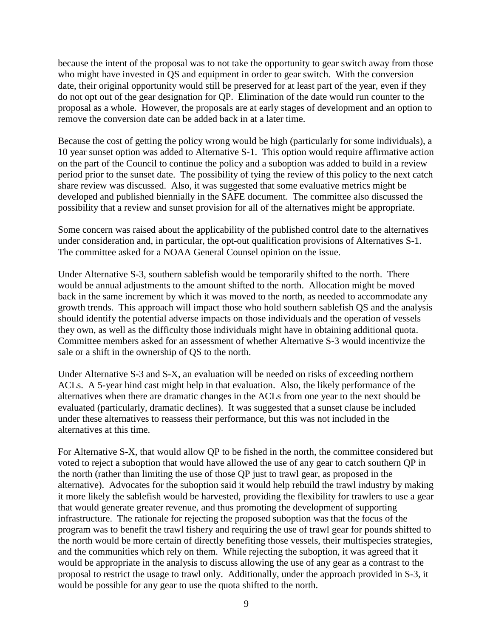because the intent of the proposal was to not take the opportunity to gear switch away from those who might have invested in QS and equipment in order to gear switch. With the conversion date, their original opportunity would still be preserved for at least part of the year, even if they do not opt out of the gear designation for QP. Elimination of the date would run counter to the proposal as a whole. However, the proposals are at early stages of development and an option to remove the conversion date can be added back in at a later time.

Because the cost of getting the policy wrong would be high (particularly for some individuals), a 10 year sunset option was added to Alternative S-1. This option would require affirmative action on the part of the Council to continue the policy and a suboption was added to build in a review period prior to the sunset date. The possibility of tying the review of this policy to the next catch share review was discussed. Also, it was suggested that some evaluative metrics might be developed and published biennially in the SAFE document. The committee also discussed the possibility that a review and sunset provision for all of the alternatives might be appropriate.

Some concern was raised about the applicability of the published control date to the alternatives under consideration and, in particular, the opt-out qualification provisions of Alternatives S-1. The committee asked for a NOAA General Counsel opinion on the issue.

Under Alternative S-3, southern sablefish would be temporarily shifted to the north. There would be annual adjustments to the amount shifted to the north. Allocation might be moved back in the same increment by which it was moved to the north, as needed to accommodate any growth trends. This approach will impact those who hold southern sablefish QS and the analysis should identify the potential adverse impacts on those individuals and the operation of vessels they own, as well as the difficulty those individuals might have in obtaining additional quota. Committee members asked for an assessment of whether Alternative S-3 would incentivize the sale or a shift in the ownership of QS to the north.

Under Alternative S-3 and S-X, an evaluation will be needed on risks of exceeding northern ACLs. A 5-year hind cast might help in that evaluation. Also, the likely performance of the alternatives when there are dramatic changes in the ACLs from one year to the next should be evaluated (particularly, dramatic declines). It was suggested that a sunset clause be included under these alternatives to reassess their performance, but this was not included in the alternatives at this time.

For Alternative S-X, that would allow QP to be fished in the north, the committee considered but voted to reject a suboption that would have allowed the use of any gear to catch southern QP in the north (rather than limiting the use of those QP just to trawl gear, as proposed in the alternative). Advocates for the suboption said it would help rebuild the trawl industry by making it more likely the sablefish would be harvested, providing the flexibility for trawlers to use a gear that would generate greater revenue, and thus promoting the development of supporting infrastructure. The rationale for rejecting the proposed suboption was that the focus of the program was to benefit the trawl fishery and requiring the use of trawl gear for pounds shifted to the north would be more certain of directly benefiting those vessels, their multispecies strategies, and the communities which rely on them. While rejecting the suboption, it was agreed that it would be appropriate in the analysis to discuss allowing the use of any gear as a contrast to the proposal to restrict the usage to trawl only. Additionally, under the approach provided in S-3, it would be possible for any gear to use the quota shifted to the north.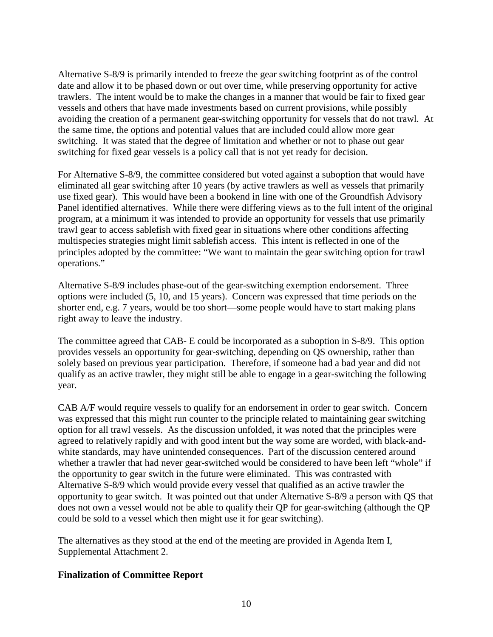Alternative S-8/9 is primarily intended to freeze the gear switching footprint as of the control date and allow it to be phased down or out over time, while preserving opportunity for active trawlers. The intent would be to make the changes in a manner that would be fair to fixed gear vessels and others that have made investments based on current provisions, while possibly avoiding the creation of a permanent gear-switching opportunity for vessels that do not trawl. At the same time, the options and potential values that are included could allow more gear switching. It was stated that the degree of limitation and whether or not to phase out gear switching for fixed gear vessels is a policy call that is not yet ready for decision.

For Alternative S-8/9, the committee considered but voted against a suboption that would have eliminated all gear switching after 10 years (by active trawlers as well as vessels that primarily use fixed gear). This would have been a bookend in line with one of the Groundfish Advisory Panel identified alternatives. While there were differing views as to the full intent of the original program, at a minimum it was intended to provide an opportunity for vessels that use primarily trawl gear to access sablefish with fixed gear in situations where other conditions affecting multispecies strategies might limit sablefish access. This intent is reflected in one of the principles adopted by the committee: "We want to maintain the gear switching option for trawl operations."

Alternative S-8/9 includes phase-out of the gear-switching exemption endorsement. Three options were included (5, 10, and 15 years). Concern was expressed that time periods on the shorter end, e.g. 7 years, would be too short—some people would have to start making plans right away to leave the industry.

The committee agreed that CAB- E could be incorporated as a suboption in S-8/9. This option provides vessels an opportunity for gear-switching, depending on QS ownership, rather than solely based on previous year participation. Therefore, if someone had a bad year and did not qualify as an active trawler, they might still be able to engage in a gear-switching the following year.

CAB A/F would require vessels to qualify for an endorsement in order to gear switch. Concern was expressed that this might run counter to the principle related to maintaining gear switching option for all trawl vessels. As the discussion unfolded, it was noted that the principles were agreed to relatively rapidly and with good intent but the way some are worded, with black-andwhite standards, may have unintended consequences. Part of the discussion centered around whether a trawler that had never gear-switched would be considered to have been left "whole" if the opportunity to gear switch in the future were eliminated. This was contrasted with Alternative S-8/9 which would provide every vessel that qualified as an active trawler the opportunity to gear switch. It was pointed out that under Alternative S-8/9 a person with QS that does not own a vessel would not be able to qualify their QP for gear-switching (although the QP could be sold to a vessel which then might use it for gear switching).

The alternatives as they stood at the end of the meeting are provided in Agenda Item I, Supplemental Attachment 2.

# <span id="page-9-0"></span>**Finalization of Committee Report**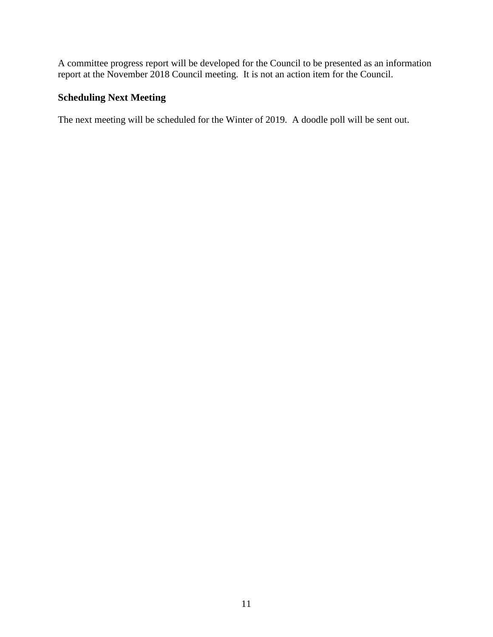A committee progress report will be developed for the Council to be presented as an information report at the November 2018 Council meeting. It is not an action item for the Council.

# <span id="page-10-0"></span>**Scheduling Next Meeting**

The next meeting will be scheduled for the Winter of 2019. A doodle poll will be sent out.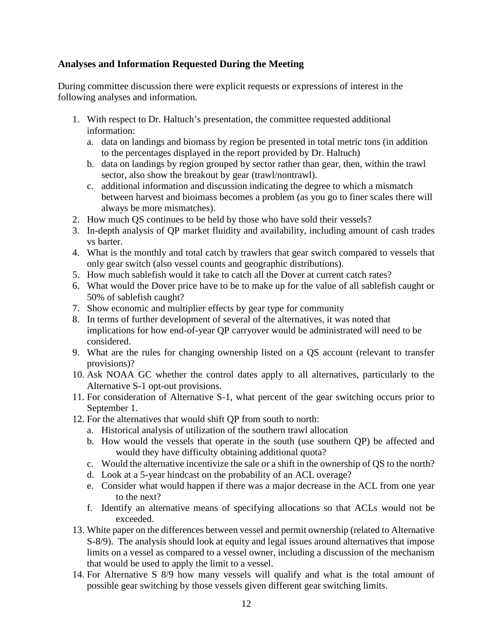# <span id="page-11-0"></span>**Analyses and Information Requested During the Meeting**

During committee discussion there were explicit requests or expressions of interest in the following analyses and information.

- 1. With respect to Dr. Haltuch's presentation, the committee requested additional information:
	- a. data on landings and biomass by region be presented in total metric tons (in addition to the percentages displayed in the report provided by Dr. Haltuch)
	- b. data on landings by region grouped by sector rather than gear, then, within the trawl sector, also show the breakout by gear (trawl/nontrawl).
	- c. additional information and discussion indicating the degree to which a mismatch between harvest and bioimass becomes a problem (as you go to finer scales there will always be more mismatches).
- 2. How much QS continues to be held by those who have sold their vessels?
- 3. In-depth analysis of QP market fluidity and availability, including amount of cash trades vs barter.
- 4. What is the monthly and total catch by trawlers that gear switch compared to vessels that only gear switch (also vessel counts and geographic distributions).
- 5. How much sablefish would it take to catch all the Dover at current catch rates?
- 6. What would the Dover price have to be to make up for the value of all sablefish caught or 50% of sablefish caught?
- 7. Show economic and multiplier effects by gear type for community
- 8. In terms of further development of several of the alternatives, it was noted that implications for how end-of-year QP carryover would be administrated will need to be considered.
- 9. What are the rules for changing ownership listed on a QS account (relevant to transfer provisions)?
- 10. Ask NOAA GC whether the control dates apply to all alternatives, particularly to the Alternative S-1 opt-out provisions.
- 11. For consideration of Alternative S-1, what percent of the gear switching occurs prior to September 1.
- 12. For the alternatives that would shift QP from south to north:
	- a. Historical analysis of utilization of the southern trawl allocation
	- b. How would the vessels that operate in the south (use southern QP) be affected and would they have difficulty obtaining additional quota?
	- c. Would the alternative incentivize the sale or a shift in the ownership of QS to the north?
	- d. Look at a 5-year hindcast on the probability of an ACL overage?
	- e. Consider what would happen if there was a major decrease in the ACL from one year to the next?
	- f. Identify an alternative means of specifying allocations so that ACLs would not be exceeded.
- 13. White paper on the differences between vessel and permit ownership (related to Alternative S-8/9). The analysis should look at equity and legal issues around alternatives that impose limits on a vessel as compared to a vessel owner, including a discussion of the mechanism that would be used to apply the limit to a vessel.
- 14. For Alternative S 8/9 how many vessels will qualify and what is the total amount of possible gear switching by those vessels given different gear switching limits.